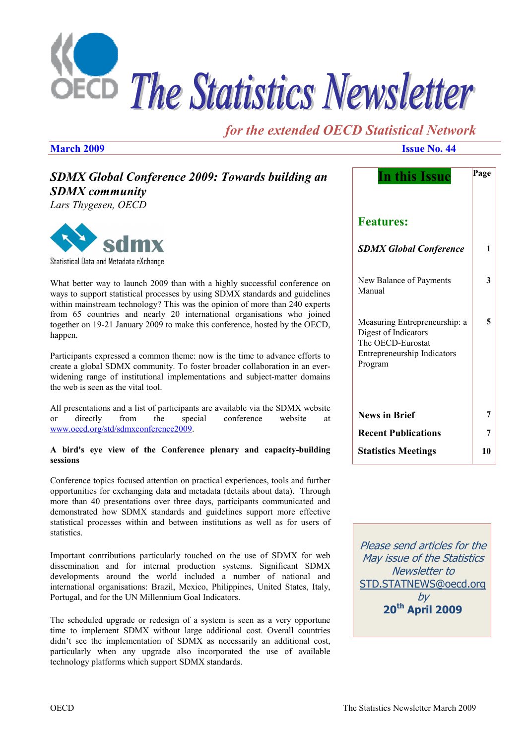

# *for the extended OECD Statistical Network*

**March 2009 Issue No. 44** 

| <b>SDMX Global Conference 2009: Towards building an</b><br><b>SDMX</b> community<br>Lars Thygesen, OECD                                                                                                                                                                                                                                                                                                | <b>In this Issue</b>                                                       | Page |
|--------------------------------------------------------------------------------------------------------------------------------------------------------------------------------------------------------------------------------------------------------------------------------------------------------------------------------------------------------------------------------------------------------|----------------------------------------------------------------------------|------|
|                                                                                                                                                                                                                                                                                                                                                                                                        | <b>Features:</b>                                                           |      |
| sdmx<br>Statistical Data and Metadata eXchange                                                                                                                                                                                                                                                                                                                                                         | <b>SDMX Global Conference</b>                                              | 1    |
| What better way to launch 2009 than with a highly successful conference on<br>ways to support statistical processes by using SDMX standards and guidelines<br>within mainstream technology? This was the opinion of more than 240 experts                                                                                                                                                              | New Balance of Payments<br>Manual                                          | 3    |
| from 65 countries and nearly 20 international organisations who joined<br>together on 19-21 January 2009 to make this conference, hosted by the OECD,<br>happen.                                                                                                                                                                                                                                       | Measuring Entrepreneurship: a<br>Digest of Indicators<br>The OECD-Eurostat | 5    |
| Participants expressed a common theme: now is the time to advance efforts to<br>create a global SDMX community. To foster broader collaboration in an ever-<br>widening range of institutional implementations and subject-matter domains<br>the web is seen as the vital tool.                                                                                                                        | Entrepreneurship Indicators<br>Program                                     |      |
| All presentations and a list of participants are available via the SDMX website<br>directly<br>from<br>the<br>special<br>conference<br>website<br>$\alpha$<br>at                                                                                                                                                                                                                                       | <b>News in Brief</b>                                                       | 7    |
| www.oecd.org/std/sdmxconference2009.                                                                                                                                                                                                                                                                                                                                                                   | <b>Recent Publications</b>                                                 | 7    |
| A bird's eye view of the Conference plenary and capacity-building<br>sessions                                                                                                                                                                                                                                                                                                                          | <b>Statistics Meetings</b>                                                 | 10   |
| Conference topics focused attention on practical experiences, tools and further<br>opportunities for exchanging data and metadata (details about data). Through<br>more than 40 presentations over three days, participants communicated and<br>demonstrated how SDMX standards and guidelines support more effective<br>statistical processes within and between institutions as well as for users of |                                                                            |      |
| statistics.<br>Important contributions particularly touched on the use of SDMX for web                                                                                                                                                                                                                                                                                                                 | Please send articles for the<br>May issue of the Statistics                |      |

dissemination and for internal production systems. Significant SDMX developments around the world included a number of national and international organisations: Brazil, Mexico, Philippines, United States, Italy, Portugal, and for the UN Millennium Goal Indicators.

The scheduled upgrade or redesign of a system is seen as a very opportune time to implement SDMX without large additional cost. Overall countries didn't see the implementation of SDMX as necessarily an additional cost, particularly when any upgrade also incorporated the use of available technology platforms which support SDMX standards.

May issue of the Statistics Newsletter to STD.STATNEWS@oecd.org by **20th April 2009**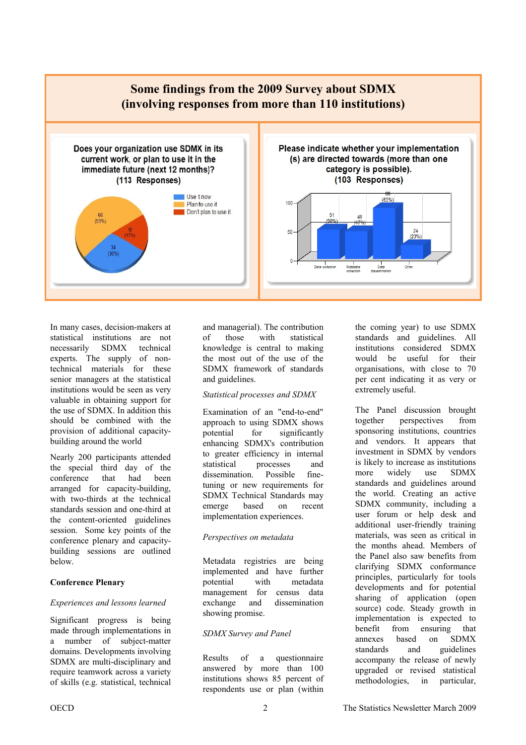

In many cases, decision-makers at statistical institutions are not necessarily SDMX technical experts. The supply of nontechnical materials for these senior managers at the statistical institutions would be seen as very valuable in obtaining support for the use of SDMX. In addition this should be combined with the provision of additional capacitybuilding around the world

Nearly 200 participants attended the special third day of the conference that had been arranged for capacity-building, with two-thirds at the technical standards session and one-third at the content-oriented guidelines session. Some key points of the conference plenary and capacitybuilding sessions are outlined below.

#### **Conference Plenary**

#### *Experiences and lessons learned*

Significant progress is being made through implementations in a number of subject-matter domains. Developments involving SDMX are multi-disciplinary and require teamwork across a variety of skills (e.g. statistical, technical

and managerial). The contribution of those with statistical knowledge is central to making the most out of the use of the SDMX framework of standards and guidelines.

#### *Statistical processes and SDMX*

Examination of an "end-to-end" approach to using SDMX shows potential for significantly enhancing SDMX's contribution to greater efficiency in internal statistical processes and dissemination. Possible finetuning or new requirements for SDMX Technical Standards may emerge based on recent implementation experiences.

#### *Perspectives on metadata*

Metadata registries are being implemented and have further potential with metadata management for census data exchange and dissemination showing promise.

#### *SDMX Survey and Panel*

Results of a questionnaire answered by more than 100 institutions shows 85 percent of respondents use or plan (within

the coming year) to use SDMX standards and guidelines. All institutions considered SDMX would be useful for their organisations, with close to 70 per cent indicating it as very or extremely useful.

The Panel discussion brought together perspectives from sponsoring institutions, countries and vendors. It appears that investment in SDMX by vendors is likely to increase as institutions more widely use SDMX standards and guidelines around the world. Creating an active SDMX community, including a user forum or help desk and additional user-friendly training materials, was seen as critical in the months ahead. Members of the Panel also saw benefits from clarifying SDMX conformance principles, particularly for tools developments and for potential sharing of application (open source) code. Steady growth in implementation is expected to benefit from ensuring that annexes based on SDMX standards and guidelines accompany the release of newly upgraded or revised statistical methodologies, in particular,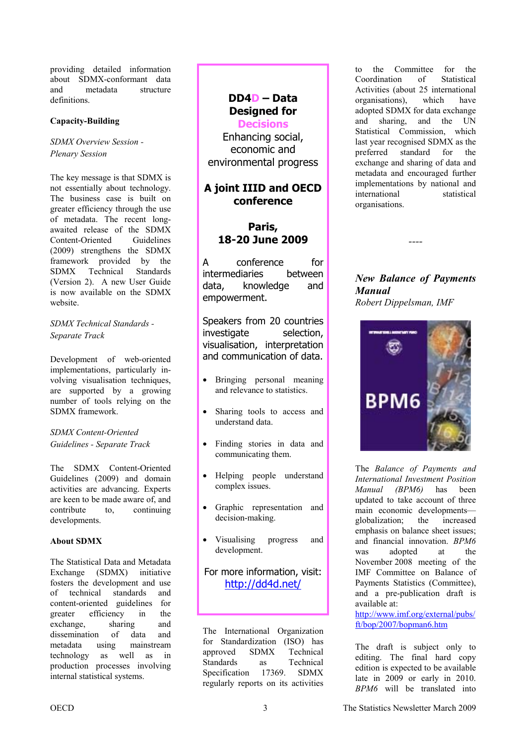<span id="page-2-0"></span>providing detailed information about SDMX-conformant data and metadata structure definitions.

### **Capacity-Building**

*SDMX Overview Session - Plenary Session* 

The key message is that SDMX is not essentially about technology. The business case is built on greater efficiency through the use of metadata. The recent longawaited release of the SDMX Content-Oriented Guidelines (2009) strengthens the SDMX framework provided by the SDMX Technical Standards (Version 2). A new User Guide is now available on the SDMX website.

*SDMX Technical Standards - Separate Track* 

Development of web-oriented implementations, particularly involving visualisation techniques, are supported by a growing number of tools relying on the SDMX framework.

### *SDMX Content-Oriented Guidelines - Separate Track*

The SDMX Content-Oriented Guidelines (2009) and domain activities are advancing. Experts are keen to be made aware of, and contribute to, continuing developments.

### **About SDMX**

The Statistical Data and Metadata Exchange (SDMX) initiative fosters the development and use of technical standards and content-oriented guidelines for greater efficiency in the exchange, sharing and dissemination of data and metadata using mainstream technology as well as in production processes involving internal statistical systems.

## **DD4D – Data Designed for**

**Decisions**  Enhancing social, economic and environmental progress

### **A joint IIID and OECD conference**

### **Paris, 18-20 June 2009**

A conference for intermediaries between data, knowledge and empowerment.

Speakers from 20 countries investigate selection, visualisation, interpretation and communication of data.

- Bringing personal meaning and relevance to statistics.
- Sharing tools to access and understand data.
- Finding stories in data and communicating them.
- Helping people understand complex issues.
- Graphic representation and decision-making.
- Visualising progress and development.

### For more information, visit: http://dd4d.net/

The International Organization for Standardization (ISO) has approved SDMX Technical Standards as Technical Specification 17369. SDMX regularly reports on its activities

to the Committee for the Coordination of Statistical Activities (about 25 international organisations), which have adopted SDMX for data exchange and sharing, and the UN Statistical Commission, which last year recognised SDMX as the preferred standard for the exchange and sharing of data and metadata and encouraged further implementations by national and international statistical organisations.

*New Balance of Payments Manual Robert Dippelsman, IMF* 

*----* 



The *Balance of Payments and International Investment Position Manual (BPM6)* has been updated to take account of three main economic developments globalization; the increased emphasis on balance sheet issues; and financial innovation. *BPM6* was adopted at the November 2008 meeting of the IMF Committee on Balance of Payments Statistics (Committee), and a pre-publication draft is available at: [http://www.imf.org/external/pubs/](http://www.imf.org/external/pubs/ft/bop/2007/bopman6.htm)

ft/bop/2007/bopman6.htm

The draft is subject only to editing. The final hard copy edition is expected to be available late in 2009 or early in 2010. *BPM6* will be translated into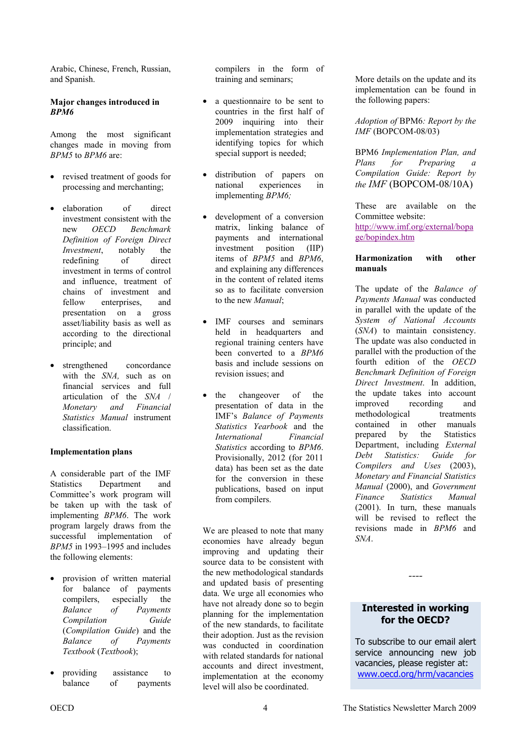Arabic, Chinese, French, Russian, and Spanish.

### **Major changes introduced in**  *BPM6*

Among the most significant changes made in moving from *BPM5* to *BPM6* are:

- revised treatment of goods for processing and merchanting;
- elaboration of direct investment consistent with the new *OECD Benchmark Definition of Foreign Direct Investment*, notably the redefining of direct investment in terms of control and influence, treatment of chains of investment and fellow enterprises, and presentation on a gross asset/liability basis as well as according to the directional principle; and
- strengthened concordance with the *SNA,* such as on financial services and full articulation of the *SNA* / *Monetary and Financial Statistics Manual* instrument classification.

### **Implementation plans**

A considerable part of the IMF Statistics Department and Committee's work program will be taken up with the task of implementing *BPM6*. The work program largely draws from the successful implementation of *BPM5* in 1993–1995 and includes the following elements:

- provision of written material for balance of payments compilers, especially the *Balance of Payments Compilation Guide*  (*Compilation Guide*) and the *Balance of Payments Textbook* (*Textbook*);
- providing assistance to balance of payments

compilers in the form of training and seminars;

- a questionnaire to be sent to countries in the first half of 2009 inquiring into their implementation strategies and identifying topics for which special support is needed;
- distribution of papers on national experiences in implementing *BPM6;*
- development of a conversion matrix, linking balance of payments and international investment position (IIP) items of *BPM5* and *BPM6*, and explaining any differences in the content of related items so as to facilitate conversion to the new *Manual*;
- IMF courses and seminars held in headquarters and regional training centers have been converted to a *BPM6* basis and include sessions on revision issues; and
- the changeover of the presentation of data in the IMF's *Balance of Payments Statistics Yearbook* and the *International Financial Statistics* according to *BPM6*. Provisionally, 2012 (for 2011 data) has been set as the date for the conversion in these publications, based on input from compilers.

We are pleased to note that many economies have already begun improving and updating their source data to be consistent with the new methodological standards and updated basis of presenting data. We urge all economies who have not already done so to begin planning for the implementation of the new standards, to facilitate their adoption. Just as the revision was conducted in coordination with related standards for national accounts and direct investment implementation at the economy level will also be coordinated.

More details on the update and its implementation can be found in the following papers:

*Adoption of* BPM6*: Report by the IMF* (BOPCOM-08/03)

BPM6 *Implementation Plan, and Plans for Preparing a Compilation Guide: Report by the IMF* (BOPCOM-08/10A)

These are available on the Committee website: [http://www.imf.org/external/bopa](http://www.imf.org/external/bopage/bopindex.htm) ge/bopindex.htm

#### **Harmonization with other manuals**

The update of the *Balance of Payments Manual* was conducted in parallel with the update of the *System of National Accounts*  (*SNA*) to maintain consistency. The update was also conducted in parallel with the production of the fourth edition of the *OECD Benchmark Definition of Foreign Direct Investment*. In addition, the update takes into account improved recording and methodological treatments contained in other manuals prepared by the Statistics Department, including *External Debt Statistics: Guide for Compilers and Uses* (2003), *Monetary and Financial Statistics Manual* (2000), and *Government Finance Statistics Manual* (2001). In turn, these manuals will be revised to reflect the revisions made in *BPM6* and *SNA*.

### **Interested in working for the OECD?**

*----* 

To subscribe to our email alert service announcing new job vacancies, please register at: www.oecd.org/hrm/vacancies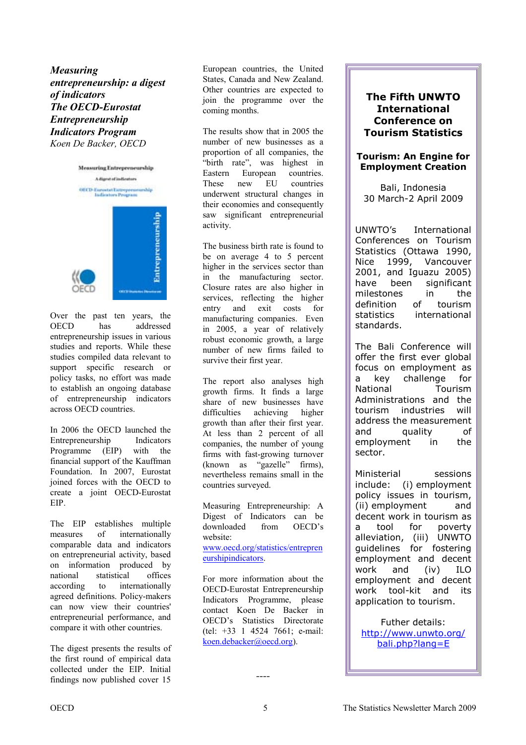<span id="page-4-0"></span>*Measuring entrepreneurship: a digest of indicators The OECD-Eurostat Entrepreneurship Indicators Program Koen De Backer, OECD* 



Over the past ten years, the OECD has addressed entrepreneurship issues in various studies and reports. While these studies compiled data relevant to support specific research or policy tasks, no effort was made to establish an ongoing database of entrepreneurship indicators across OECD countries.

In 2006 the OECD launched the Entrepreneurship Indicators Programme (EIP) with the financial support of the Kauffman Foundation. In 2007, Eurostat joined forces with the OECD to create a joint OECD-Eurostat EIP.

The EIP establishes multiple measures of internationally comparable data and indicators on entrepreneurial activity, based on information produced by national statistical offices according to internationally agreed definitions. Policy-makers can now view their countries' entrepreneurial performance, and compare it with other countries.

The digest presents the results of the first round of empirical data collected under the EIP. Initial findings now published cover 15

European countries, the United States, Canada and New Zealand. Other countries are expected to join the programme over the coming months.

The results show that in 2005 the number of new businesses as a proportion of all companies, the "birth rate", was highest in Eastern European countries. These new EU countries underwent structural changes in their economies and consequently saw significant entrepreneurial activity.

The business birth rate is found to be on average 4 to 5 percent higher in the services sector than in the manufacturing sector. Closure rates are also higher in services, reflecting the higher entry and exit costs for manufacturing companies. Even in 2005, a year of relatively robust economic growth, a large number of new firms failed to survive their first year.

The report also analyses high growth firms. It finds a large share of new businesses have difficulties achieving higher growth than after their first year. At less than 2 percent of all companies, the number of young firms with fast-growing turnover (known as "gazelle" firms), nevertheless remains small in the countries surveyed.

Measuring Entrepreneurship: A Digest of Indicators can be downloaded from OECD's website:

[www.oecd.org/statistics/entrepren](www.oecd.org/statistics/entrepreneurshipindicators) eurshipindicators.

For more information about the OECD-Eurostat Entrepreneurship Indicators Programme, please contact Koen De Backer in OECD's Statistics Directorate (tel: +33 1 4524 7661; e-mail: koen.debacker@oecd.org).

### **The Fifth UNWTO International Conference on Tourism Statistics**

### **Tourism: An Engine for Employment Creation**

Bali, Indonesia 30 March-2 April 2009

UNWTO's International Conferences on Tourism Statistics (Ottawa 1990, Nice 1999, Vancouver 2001, and Iguazu 2005) have been significant milestones in the definition of tourism statistics international standards.

The Bali Conference will offer the first ever global focus on employment as a key challenge for National Tourism Administrations and the tourism industries will address the measurement and quality of employment in the sector.

Ministerial sessions include: (i) employment policy issues in tourism, (ii) employment and decent work in tourism as a tool for poverty alleviation, (iii) UNWTO guidelines for fostering employment and decent work and (iv) ILO employment and decent work tool-kit and its application to tourism.

Futher details: [http://www.unwto.org/](http://www.unwto.org/bali.php?lang=E) bali.php?lang=E

*----*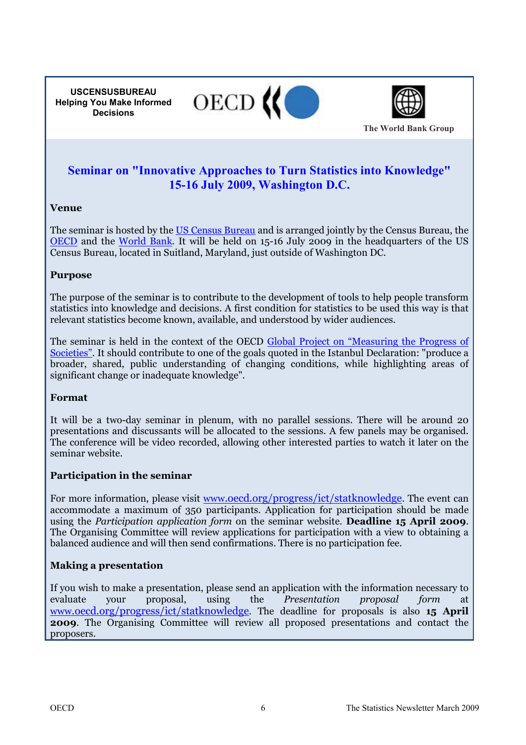**USCENSUSBUREAU Helping You Make Informed Decisions**





**The World Bank Group**

## **Seminar on "Innovative Approaches to Turn Statistics into Knowledge" 15-16 July 2009, Washington D.C.**

### **Venue**

The seminar is hosted by the [US Census Bureau](www.census.gov) and is arranged jointly by the Census Bureau, the [OECD](www.oecd.org) and the [World Bank.](www.worldbank.org) It will be held on 15-16 July 2009 in the headquarters of the US Census Bureau, located in Suitland, Maryland, just outside of Washington DC.

### **Purpose**

The purpose of the seminar is to contribute to the development of tools to help people transform statistics into knowledge and decisions. A first condition for statistics to be used this way is that relevant statistics become known, available, and understood by wider audiences.

[The seminar is held in the context of the OECD Global Project on "Measuring the Progress of](http://www.oecd.org/pages/0,3417,en_40033426_40033828_1_1_1_1_1,00.html) Societies". It should contribute to one of the goals quoted in the Istanbul Declaration: "produce a broader, shared, public understanding of changing conditions, while highlighting areas of significant change or inadequate knowledge".

### **Format**

It will be a two-day seminar in plenum, with no parallel sessions. There will be around 20 presentations and discussants will be allocated to the sessions. A few panels may be organised. The conference will be video recorded, allowing other interested parties to watch it later on the seminar website.

### **Participation in the seminar**

For more information, please visit www.oecd.org/progress/ict/statknowledge. The event can accommodate a maximum of 350 participants. Application for participation should be made using the *Participation application form* on the seminar website. **Deadline 15 April 2009**. The Organising Committee will review applications for participation with a view to obtaining a balanced audience and will then send confirmations. There is no participation fee.

### **Making a presentation**

If you wish to make a presentation, please send an application with the information necessary to evaluate your proposal, using the *Presentation proposal form* at www.oecd.org/progress/ict/statknowledge. The deadline for proposals is also **15 April 2009**. The Organising Committee will review all proposed presentations and contact the proposers.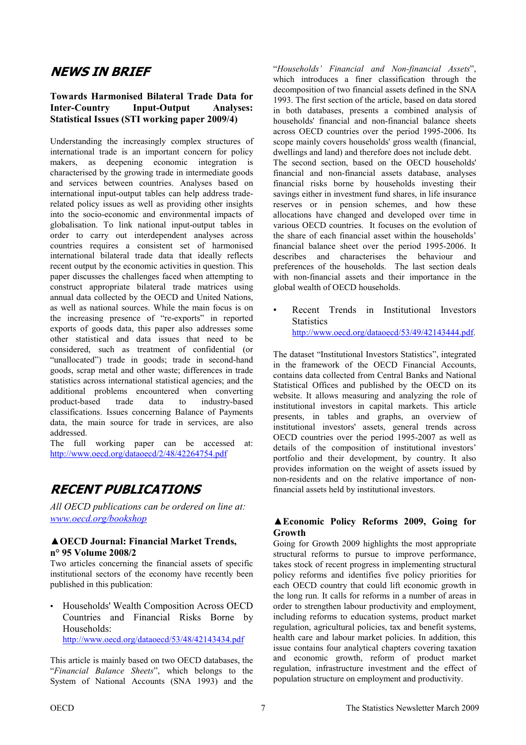## <span id="page-6-0"></span>**NEWS IN BRIEF**

### **Towards Harmonised Bilateral Trade Data for Inter-Country Input-Output Analyses: Statistical Issues (STI working paper 2009/4)**

Understanding the increasingly complex structures of international trade is an important concern for policy makers, as deepening economic integration is characterised by the growing trade in intermediate goods and services between countries. Analyses based on international input-output tables can help address traderelated policy issues as well as providing other insights into the socio-economic and environmental impacts of globalisation. To link national input-output tables in order to carry out interdependent analyses across countries requires a consistent set of harmonised international bilateral trade data that ideally reflects recent output by the economic activities in question. This paper discusses the challenges faced when attempting to construct appropriate bilateral trade matrices using annual data collected by the OECD and United Nations, as well as national sources. While the main focus is on the increasing presence of "re-exports" in reported exports of goods data, this paper also addresses some other statistical and data issues that need to be considered, such as treatment of confidential (or "unallocated") trade in goods; trade in second-hand goods, scrap metal and other waste; differences in trade statistics across international statistical agencies; and the additional problems encountered when converting product-based trade data to industry-based classifications. Issues concerning Balance of Payments data, the main source for trade in services, are also addressed.

The full working paper can be accessed at: http://www.oecd.org/dataoecd/2/48/42264754.pdf

## **RECENT PUBLICATIONS**

*All OECD publications can be ordered on line at: www.oecd.org/bookshop*

### **▲OECD Journal: Financial Market Trends, n° 95 Volume 2008/2**

Two articles concerning the financial assets of specific institutional sectors of the economy have recently been published in this publication:

• Households' Wealth Composition Across OECD Countries and Financial Risks Borne by Households:

http://www.oecd.org/dataoecd/53/48/42143434.pdf

This article is mainly based on two OECD databases, the "*Financial Balance Sheets*", which belongs to the System of National Accounts (SNA 1993) and the "*Households' Financial and Non-financial Assets*", which introduces a finer classification through the decomposition of two financial assets defined in the SNA 1993. The first section of the article, based on data stored in both databases, presents a combined analysis of households' financial and non-financial balance sheets across OECD countries over the period 1995-2006. Its scope mainly covers households' gross wealth (financial, dwellings and land) and therefore does not include debt. The second section, based on the OECD households' financial and non-financial assets database, analyses financial risks borne by households investing their savings either in investment fund shares, in life insurance reserves or in pension schemes, and how these allocations have changed and developed over time in various OECD countries. It focuses on the evolution of the share of each financial asset within the households' financial balance sheet over the period 1995-2006. It describes and characterises the behaviour and preferences of the households. The last section deals with non-financial assets and their importance in the global wealth of OECD households.

• Recent Trends in Institutional Investors **Statistics** http://www.oecd.org/dataoecd/53/49/42143444.pdf.

The dataset "Institutional Investors Statistics", integrated in the framework of the OECD Financial Accounts, contains data collected from Central Banks and National Statistical Offices and published by the OECD on its website. It allows measuring and analyzing the role of institutional investors in capital markets. This article presents, in tables and graphs, an overview of institutional investors' assets, general trends across OECD countries over the period 1995-2007 as well as details of the composition of institutional investors' portfolio and their development, by country. It also provides information on the weight of assets issued by non-residents and on the relative importance of nonfinancial assets held by institutional investors.

### **▲Economic Policy Reforms 2009, Going for Growth**

Going for Growth 2009 highlights the most appropriate structural reforms to pursue to improve performance, takes stock of recent progress in implementing structural policy reforms and identifies five policy priorities for each OECD country that could lift economic growth in the long run. It calls for reforms in a number of areas in order to strengthen labour productivity and employment, including reforms to education systems, product market regulation, agricultural policies, tax and benefit systems, health care and labour market policies. In addition, this issue contains four analytical chapters covering taxation and economic growth, reform of product market regulation, infrastructure investment and the effect of population structure on employment and productivity.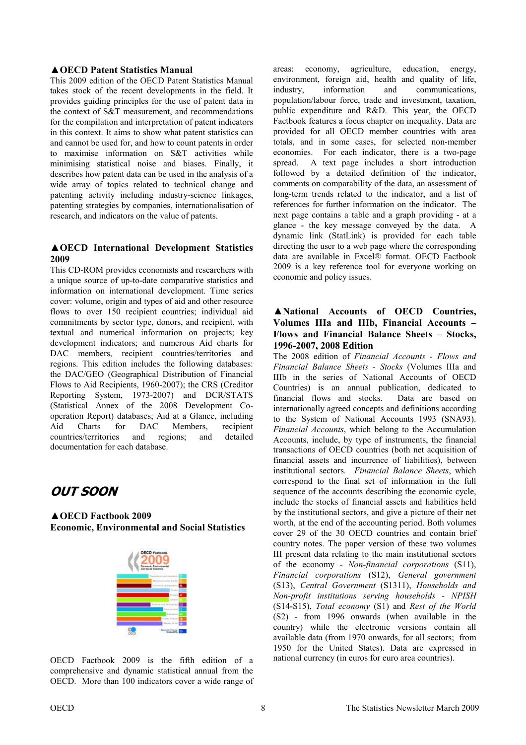### **▲OECD Patent Statistics Manual**

This 2009 edition of the OECD Patent Statistics Manual takes stock of the recent developments in the field. It provides guiding principles for the use of patent data in the context of S&T measurement, and recommendations for the compilation and interpretation of patent indicators in this context. It aims to show what patent statistics can and cannot be used for, and how to count patents in order to maximise information on S&T activities while minimising statistical noise and biases. Finally, it describes how patent data can be used in the analysis of a wide array of topics related to technical change and patenting activity including industry-science linkages, patenting strategies by companies, internationalisation of research, and indicators on the value of patents.

### ▲**OECD International Development Statistics 2009**

This CD-ROM provides economists and researchers with a unique source of up-to-date comparative statistics and information on international development. Time series cover: volume, origin and types of aid and other resource flows to over 150 recipient countries; individual aid commitments by sector type, donors, and recipient, with textual and numerical information on projects; key development indicators; and numerous Aid charts for DAC members, recipient countries/territories and regions. This edition includes the following databases: the DAC/GEO (Geographical Distribution of Financial Flows to Aid Recipients, 1960-2007); the CRS (Creditor Reporting System, 1973-2007) and DCR/STATS (Statistical Annex of the 2008 Development Cooperation Report) databases; Aid at a Glance, including Aid Charts for DAC Members, recipient countries/territories and regions; and detailed documentation for each database.

## **OUT SOON**

**▲OECD Factbook 2009 Economic, Environmental and Social Statistics** 



OECD Factbook 2009 is the fifth edition of a comprehensive and dynamic statistical annual from the OECD. More than 100 indicators cover a wide range of

areas: economy, agriculture, education, energy, environment, foreign aid, health and quality of life, industry, information and communications, population/labour force, trade and investment, taxation, public expenditure and R&D. This year, the OECD Factbook features a focus chapter on inequality. Data are provided for all OECD member countries with area totals, and in some cases, for selected non-member economies. For each indicator, there is a two-page spread. A text page includes a short introduction followed by a detailed definition of the indicator, comments on comparability of the data, an assessment of long-term trends related to the indicator, and a list of references for further information on the indicator. The next page contains a table and a graph providing - at a glance - the key message conveyed by the data. A dynamic link (StatLink) is provided for each table directing the user to a web page where the corresponding data are available in Excel® format. OECD Factbook 2009 is a key reference tool for everyone working on economic and policy issues.

### **▲National Accounts of OECD Countries, Volumes IIIa and IIIb, Financial Accounts – Flows and Financial Balance Sheets – Stocks, 1996-2007, 2008 Edition**

The 2008 edition of *Financial Accounts - Flows and Financial Balance Sheets - Stocks* (Volumes IIIa and IIIb in the series of National Accounts of OECD Countries) is an annual publication, dedicated to financial flows and stocks. Data are based on internationally agreed concepts and definitions according to the System of National Accounts 1993 (SNA93). *Financial Accounts*, which belong to the Accumulation Accounts, include, by type of instruments, the financial transactions of OECD countries (both net acquisition of financial assets and incurrence of liabilities), between institutional sectors. *Financial Balance Sheets*, which correspond to the final set of information in the full sequence of the accounts describing the economic cycle. include the stocks of financial assets and liabilities held by the institutional sectors, and give a picture of their net worth, at the end of the accounting period. Both volumes cover 29 of the 30 OECD countries and contain brief country notes. The paper version of these two volumes III present data relating to the main institutional sectors of the economy - *Non-financial corporations* (S11), *Financial corporations* (S12), *General government* (S13), *Central Government* (S1311), *Households and Non-profit institutions serving households - NPISH* (S14-S15), *Total economy* (S1) and *Rest of the World* (S2) - from 1996 onwards (when available in the country) while the electronic versions contain all available data (from 1970 onwards, for all sectors; from 1950 for the United States). Data are expressed in national currency (in euros for euro area countries).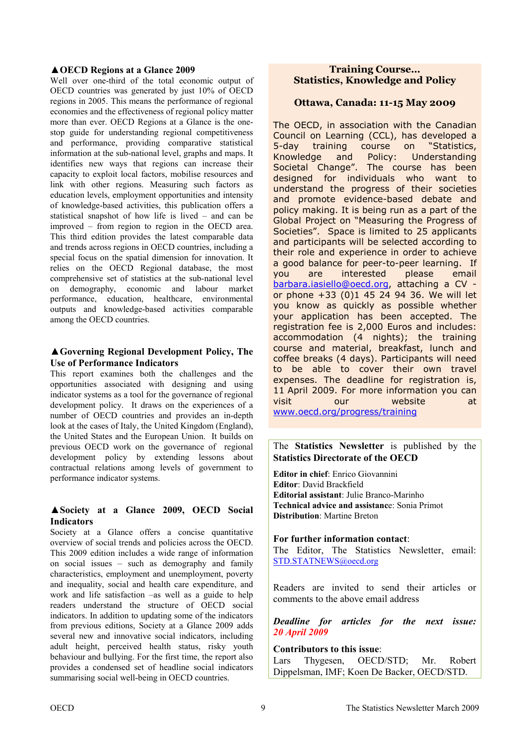### **▲OECD Regions at a Glance 2009**

Well over one-third of the total economic output of OECD countries was generated by just 10% of OECD regions in 2005. This means the performance of regional economies and the effectiveness of regional policy matter more than ever. OECD Regions at a Glance is the onestop guide for understanding regional competitiveness and performance, providing comparative statistical information at the sub-national level, graphs and maps. It identifies new ways that regions can increase their capacity to exploit local factors, mobilise resources and link with other regions. Measuring such factors as education levels, employment opportunities and intensity of knowledge-based activities, this publication offers a statistical snapshot of how life is lived – and can be improved – from region to region in the OECD area. This third edition provides the latest comparable data and trends across regions in OECD countries, including a special focus on the spatial dimension for innovation. It relies on the OECD Regional database, the most comprehensive set of statistics at the sub-national level on demography, economic and labour market performance, education, healthcare, environmental outputs and knowledge-based activities comparable among the OECD countries.

### **▲Governing Regional Development Policy, The Use of Performance Indicators**

This report examines both the challenges and the opportunities associated with designing and using indicator systems as a tool for the governance of regional development policy. It draws on the experiences of a number of OECD countries and provides an in-depth look at the cases of Italy, the United Kingdom (England), the United States and the European Union. It builds on previous OECD work on the governance of regional development policy by extending lessons about contractual relations among levels of government to performance indicator systems.

### **▲Society at a Glance 2009, OECD Social Indicators**

Society at a Glance offers a concise quantitative overview of social trends and policies across the OECD. This 2009 edition includes a wide range of information on social issues – such as demography and family characteristics, employment and unemployment, poverty and inequality, social and health care expenditure, and work and life satisfaction –as well as a guide to help readers understand the structure of OECD social indicators. In addition to updating some of the indicators from previous editions, Society at a Glance 2009 adds several new and innovative social indicators, including adult height, perceived health status, risky youth behaviour and bullying. For the first time, the report also provides a condensed set of headline social indicators summarising social well-being in OECD countries.

### **Training Course… Statistics, Knowledge and Policy**

### **Ottawa, Canada: 11-15 May 2009**

The OECD, in association with the Canadian Council on Learning (CCL), has developed a 5-day training course on "Statistics, Knowledge and Policy: Understanding Societal Change". The course has been designed for individuals who want to understand the progress of their societies and promote evidence-based debate and policy making. It is being run as a part of the Global Project on "Measuring the Progress of Societies". Space is limited to 25 applicants and participants will be selected according to their role and experience in order to achieve a good balance for peer-to-peer learning. If you are interested please email barbara.iasiello@oecd.org, attaching a CV or phone +33 (0)1 45 24 94 36. We will let you know as quickly as possible whether your application has been accepted. The registration fee is 2,000 Euros and includes: accommodation (4 nights); the training course and material, breakfast, lunch and coffee breaks (4 days). Participants will need to be able to cover their own travel expenses. The deadline for registration is, 11 April 2009. For more information you can visit our website at www.oecd.org/progress/training

The **Statistics Newsletter** is published by the **Statistics Directorate of the OECD** 

**Editor in chief**: Enrico Giovannini **Editor**: David Brackfield **Editorial assistant**: Julie Branco-Marinho **Technical advice and assistanc**e: Sonia Primot **Distribution**: Martine Breton

#### **For further information contact**:

The Editor, The Statistics Newsletter, email: STD.STATNEWS@oecd.org

Readers are invited to send their articles or comments to the above email address

*Deadline for articles for the next issue: 20 April 2009* 

**Contributors to this issue**:

Lars Thygesen, OECD/STD; Mr. Robert Dippelsman, IMF; Koen De Backer, OECD/STD.